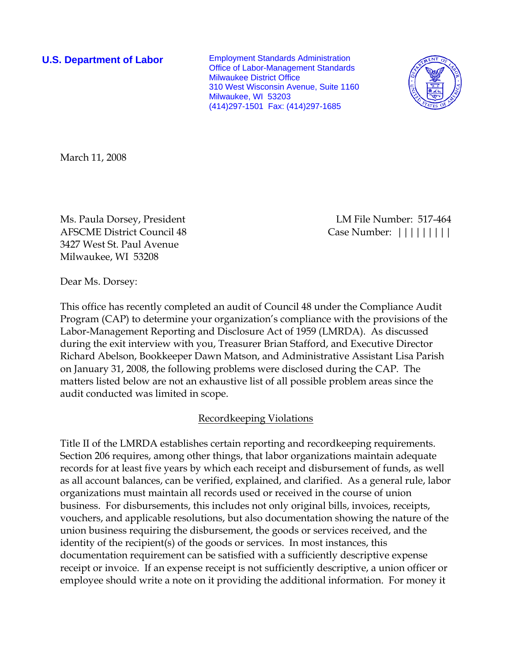**U.S. Department of Labor** Employment Standards Administration Office of Labor-Management Standards Milwaukee District Office 310 West Wisconsin Avenue, Suite 1160 Milwaukee, WI 53203 (414)297-1501 Fax: (414)297-1685



March 11, 2008

AFSCME District Council 48 Case Number:  $||||||||||||$ 3427 West St. Paul Avenue Milwaukee, WI 53208

Ms. Paula Dorsey, President LM File Number: 517-464

Dear Ms. Dorsey:

This office has recently completed an audit of Council 48 under the Compliance Audit Program (CAP) to determine your organization's compliance with the provisions of the Labor-Management Reporting and Disclosure Act of 1959 (LMRDA). As discussed during the exit interview with you, Treasurer Brian Stafford, and Executive Director Richard Abelson, Bookkeeper Dawn Matson, and Administrative Assistant Lisa Parish on January 31, 2008, the following problems were disclosed during the CAP. The matters listed below are not an exhaustive list of all possible problem areas since the audit conducted was limited in scope.

#### Recordkeeping Violations

Title II of the LMRDA establishes certain reporting and recordkeeping requirements. Section 206 requires, among other things, that labor organizations maintain adequate records for at least five years by which each receipt and disbursement of funds, as well as all account balances, can be verified, explained, and clarified. As a general rule, labor organizations must maintain all records used or received in the course of union business. For disbursements, this includes not only original bills, invoices, receipts, vouchers, and applicable resolutions, but also documentation showing the nature of the union business requiring the disbursement, the goods or services received, and the identity of the recipient(s) of the goods or services. In most instances, this documentation requirement can be satisfied with a sufficiently descriptive expense receipt or invoice. If an expense receipt is not sufficiently descriptive, a union officer or employee should write a note on it providing the additional information. For money it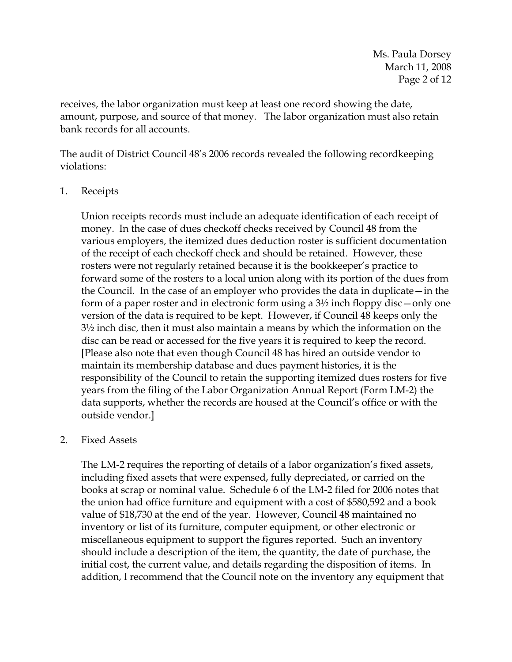receives, the labor organization must keep at least one record showing the date, amount, purpose, and source of that money. The labor organization must also retain bank records for all accounts.

The audit of District Council 48's 2006 records revealed the following recordkeeping violations:

1. Receipts

Union receipts records must include an adequate identification of each receipt of money. In the case of dues checkoff checks received by Council 48 from the various employers, the itemized dues deduction roster is sufficient documentation of the receipt of each checkoff check and should be retained. However, these rosters were not regularly retained because it is the bookkeeper's practice to forward some of the rosters to a local union along with its portion of the dues from the Council. In the case of an employer who provides the data in duplicate—in the form of a paper roster and in electronic form using a  $3\frac{1}{2}$  inch floppy disc—only one version of the data is required to be kept. However, if Council 48 keeps only the 3½ inch disc, then it must also maintain a means by which the information on the disc can be read or accessed for the five years it is required to keep the record. [Please also note that even though Council 48 has hired an outside vendor to maintain its membership database and dues payment histories, it is the responsibility of the Council to retain the supporting itemized dues rosters for five years from the filing of the Labor Organization Annual Report (Form LM-2) the data supports, whether the records are housed at the Council's office or with the outside vendor.]

# 2. Fixed Assets

The LM-2 requires the reporting of details of a labor organization's fixed assets, including fixed assets that were expensed, fully depreciated, or carried on the books at scrap or nominal value. Schedule 6 of the LM-2 filed for 2006 notes that the union had office furniture and equipment with a cost of \$580,592 and a book value of \$18,730 at the end of the year. However, Council 48 maintained no inventory or list of its furniture, computer equipment, or other electronic or miscellaneous equipment to support the figures reported. Such an inventory should include a description of the item, the quantity, the date of purchase, the initial cost, the current value, and details regarding the disposition of items. In addition, I recommend that the Council note on the inventory any equipment that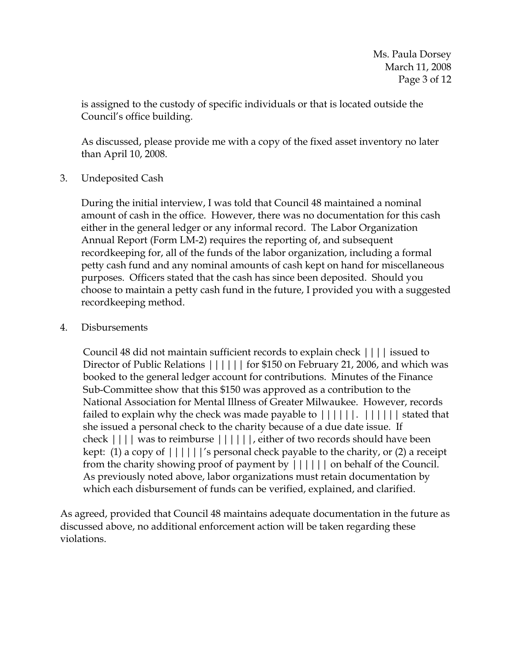is assigned to the custody of specific individuals or that is located outside the Council's office building.

As discussed, please provide me with a copy of the fixed asset inventory no later than April 10, 2008.

3. Undeposited Cash

 During the initial interview, I was told that Council 48 maintained a nominal amount of cash in the office. However, there was no documentation for this cash either in the general ledger or any informal record. The Labor Organization Annual Report (Form LM-2) requires the reporting of, and subsequent recordkeeping for, all of the funds of the labor organization, including a formal petty cash fund and any nominal amounts of cash kept on hand for miscellaneous purposes. Officers stated that the cash has since been deposited. Should you choose to maintain a petty cash fund in the future, I provided you with a suggested recordkeeping method.

4. Disbursements

Council 48 did not maintain sufficient records to explain check |||| issued to Director of Public Relations  $||||||$  for \$150 on February 21, 2006, and which was booked to the general ledger account for contributions. Minutes of the Finance Sub-Committee show that this \$150 was approved as a contribution to the National Association for Mental Illness of Greater Milwaukee. However, records failed to explain why the check was made payable to  $||||||||.$   $||||||$  stated that she issued a personal check to the charity because of a due date issue. If check |||| was to reimburse ||||||, either of two records should have been kept: (1) a copy of  $||||||'$ s personal check payable to the charity, or (2) a receipt from the charity showing proof of payment by |||||| on behalf of the Council. As previously noted above, labor organizations must retain documentation by which each disbursement of funds can be verified, explained, and clarified.

As agreed, provided that Council 48 maintains adequate documentation in the future as discussed above, no additional enforcement action will be taken regarding these violations.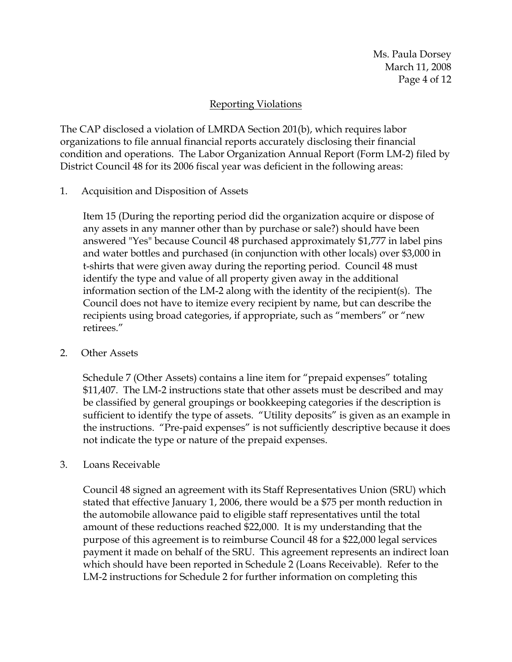## Reporting Violations

The CAP disclosed a violation of LMRDA Section 201(b), which requires labor organizations to file annual financial reports accurately disclosing their financial condition and operations. The Labor Organization Annual Report (Form LM-2) filed by District Council 48 for its 2006 fiscal year was deficient in the following areas:

1. Acquisition and Disposition of Assets

Item 15 (During the reporting period did the organization acquire or dispose of any assets in any manner other than by purchase or sale?) should have been answered "Yes" because Council 48 purchased approximately \$1,777 in label pins and water bottles and purchased (in conjunction with other locals) over \$3,000 in t-shirts that were given away during the reporting period. Council 48 must identify the type and value of all property given away in the additional information section of the LM-2 along with the identity of the recipient(s). The Council does not have to itemize every recipient by name, but can describe the recipients using broad categories, if appropriate, such as "members" or "new retirees."

2. Other Assets

Schedule 7 (Other Assets) contains a line item for "prepaid expenses" totaling \$11,407. The LM-2 instructions state that other assets must be described and may be classified by general groupings or bookkeeping categories if the description is sufficient to identify the type of assets. "Utility deposits" is given as an example in the instructions. "Pre-paid expenses" is not sufficiently descriptive because it does not indicate the type or nature of the prepaid expenses.

3. Loans Receivable

Council 48 signed an agreement with its Staff Representatives Union (SRU) which stated that effective January 1, 2006, there would be a \$75 per month reduction in the automobile allowance paid to eligible staff representatives until the total amount of these reductions reached \$22,000. It is my understanding that the purpose of this agreement is to reimburse Council 48 for a \$22,000 legal services payment it made on behalf of the SRU. This agreement represents an indirect loan which should have been reported in Schedule 2 (Loans Receivable). Refer to the LM-2 instructions for Schedule 2 for further information on completing this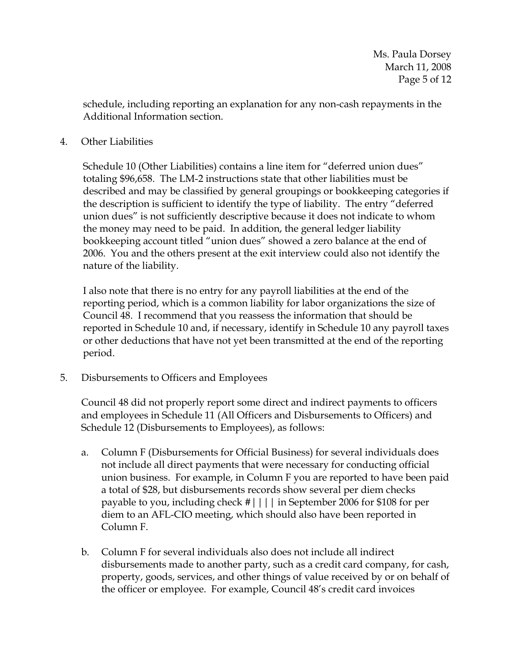schedule, including reporting an explanation for any non-cash repayments in the Additional Information section.

### 4. Other Liabilities

Schedule 10 (Other Liabilities) contains a line item for "deferred union dues" totaling \$96,658. The LM-2 instructions state that other liabilities must be described and may be classified by general groupings or bookkeeping categories if the description is sufficient to identify the type of liability. The entry "deferred union dues" is not sufficiently descriptive because it does not indicate to whom the money may need to be paid. In addition, the general ledger liability bookkeeping account titled "union dues" showed a zero balance at the end of 2006. You and the others present at the exit interview could also not identify the nature of the liability.

I also note that there is no entry for any payroll liabilities at the end of the reporting period, which is a common liability for labor organizations the size of Council 48. I recommend that you reassess the information that should be reported in Schedule 10 and, if necessary, identify in Schedule 10 any payroll taxes or other deductions that have not yet been transmitted at the end of the reporting period.

5. Disbursements to Officers and Employees

Council 48 did not properly report some direct and indirect payments to officers and employees in Schedule 11 (All Officers and Disbursements to Officers) and Schedule 12 (Disbursements to Employees), as follows:

- a. Column F (Disbursements for Official Business) for several individuals does not include all direct payments that were necessary for conducting official union business. For example, in Column F you are reported to have been paid a total of \$28, but disbursements records show several per diem checks payable to you, including check #|||| in September 2006 for \$108 for per diem to an AFL-CIO meeting, which should also have been reported in Column F.
- b. Column F for several individuals also does not include all indirect disbursements made to another party, such as a credit card company, for cash, property, goods, services, and other things of value received by or on behalf of the officer or employee. For example, Council 48's credit card invoices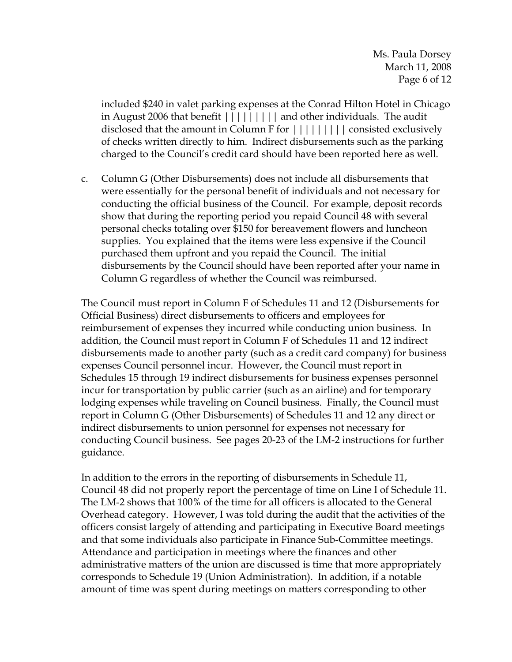Ms. Paula Dorsey March 11, 2008 Page 6 of 12

included \$240 in valet parking expenses at the Conrad Hilton Hotel in Chicago in August 2006 that benefit ||||||||| and other individuals. The audit disclosed that the amount in Column F for  $||||||||||$  consisted exclusively of checks written directly to him. Indirect disbursements such as the parking charged to the Council's credit card should have been reported here as well.

c. Column G (Other Disbursements) does not include all disbursements that were essentially for the personal benefit of individuals and not necessary for conducting the official business of the Council. For example, deposit records show that during the reporting period you repaid Council 48 with several personal checks totaling over \$150 for bereavement flowers and luncheon supplies. You explained that the items were less expensive if the Council purchased them upfront and you repaid the Council. The initial disbursements by the Council should have been reported after your name in Column G regardless of whether the Council was reimbursed.

The Council must report in Column F of Schedules 11 and 12 (Disbursements for Official Business) direct disbursements to officers and employees for reimbursement of expenses they incurred while conducting union business. In addition, the Council must report in Column F of Schedules 11 and 12 indirect disbursements made to another party (such as a credit card company) for business expenses Council personnel incur. However, the Council must report in Schedules 15 through 19 indirect disbursements for business expenses personnel incur for transportation by public carrier (such as an airline) and for temporary lodging expenses while traveling on Council business. Finally, the Council must report in Column G (Other Disbursements) of Schedules 11 and 12 any direct or indirect disbursements to union personnel for expenses not necessary for conducting Council business. See pages 20-23 of the LM-2 instructions for further guidance.

In addition to the errors in the reporting of disbursements in Schedule 11, Council 48 did not properly report the percentage of time on Line I of Schedule 11. The LM-2 shows that 100% of the time for all officers is allocated to the General Overhead category. However, I was told during the audit that the activities of the officers consist largely of attending and participating in Executive Board meetings and that some individuals also participate in Finance Sub-Committee meetings. Attendance and participation in meetings where the finances and other administrative matters of the union are discussed is time that more appropriately corresponds to Schedule 19 (Union Administration). In addition, if a notable amount of time was spent during meetings on matters corresponding to other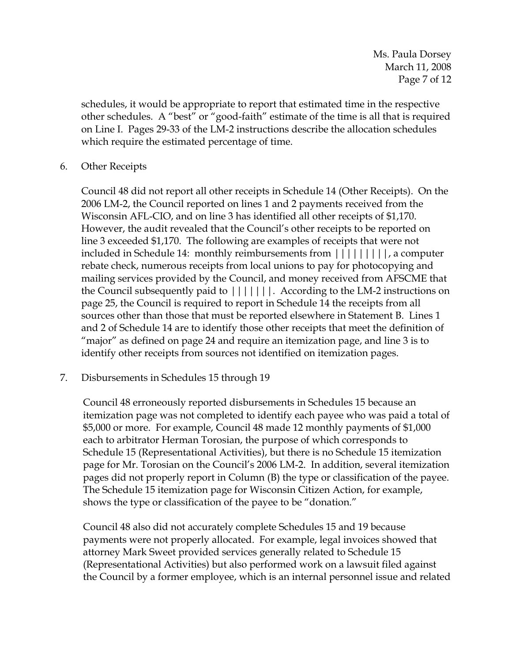schedules, it would be appropriate to report that estimated time in the respective other schedules. A "best" or "good-faith" estimate of the time is all that is required on Line I. Pages 29-33 of the LM-2 instructions describe the allocation schedules which require the estimated percentage of time.

### 6. Other Receipts

Council 48 did not report all other receipts in Schedule 14 (Other Receipts). On the 2006 LM-2, the Council reported on lines 1 and 2 payments received from the Wisconsin AFL-CIO, and on line 3 has identified all other receipts of \$1,170. However, the audit revealed that the Council's other receipts to be reported on line 3 exceeded \$1,170. The following are examples of receipts that were not included in Schedule 14: monthly reimbursements from |||||||||, a computer rebate check, numerous receipts from local unions to pay for photocopying and mailing services provided by the Council, and money received from AFSCME that the Council subsequently paid to |||||||. According to the LM-2 instructions on page 25, the Council is required to report in Schedule 14 the receipts from all sources other than those that must be reported elsewhere in Statement B. Lines 1 and 2 of Schedule 14 are to identify those other receipts that meet the definition of "major" as defined on page 24 and require an itemization page, and line 3 is to identify other receipts from sources not identified on itemization pages.

# 7. Disbursements in Schedules 15 through 19

Council 48 erroneously reported disbursements in Schedules 15 because an itemization page was not completed to identify each payee who was paid a total of \$5,000 or more. For example, Council 48 made 12 monthly payments of \$1,000 each to arbitrator Herman Torosian, the purpose of which corresponds to Schedule 15 (Representational Activities), but there is no Schedule 15 itemization page for Mr. Torosian on the Council's 2006 LM-2. In addition, several itemization pages did not properly report in Column (B) the type or classification of the payee. The Schedule 15 itemization page for Wisconsin Citizen Action, for example, shows the type or classification of the payee to be "donation."

Council 48 also did not accurately complete Schedules 15 and 19 because payments were not properly allocated. For example, legal invoices showed that attorney Mark Sweet provided services generally related to Schedule 15 (Representational Activities) but also performed work on a lawsuit filed against the Council by a former employee, which is an internal personnel issue and related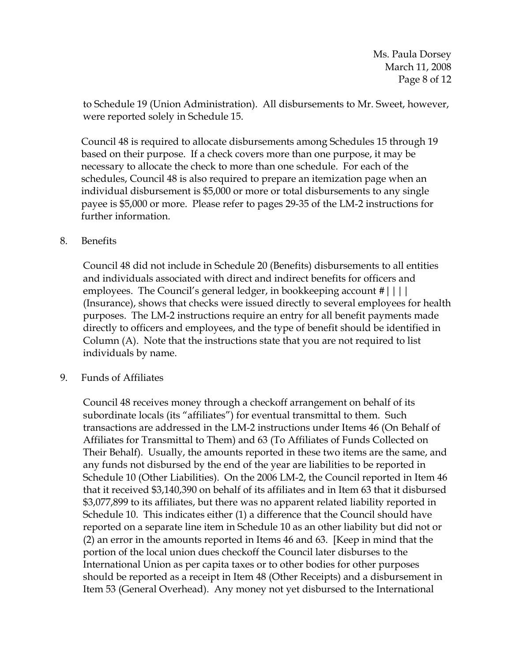to Schedule 19 (Union Administration). All disbursements to Mr. Sweet, however, were reported solely in Schedule 15.

Council 48 is required to allocate disbursements among Schedules 15 through 19 based on their purpose. If a check covers more than one purpose, it may be necessary to allocate the check to more than one schedule. For each of the schedules, Council 48 is also required to prepare an itemization page when an individual disbursement is \$5,000 or more or total disbursements to any single payee is \$5,000 or more. Please refer to pages 29-35 of the LM-2 instructions for further information.

#### 8. Benefits

Council 48 did not include in Schedule 20 (Benefits) disbursements to all entities and individuals associated with direct and indirect benefits for officers and employees. The Council's general ledger, in bookkeeping account #|||| (Insurance), shows that checks were issued directly to several employees for health purposes. The LM-2 instructions require an entry for all benefit payments made directly to officers and employees, and the type of benefit should be identified in Column (A). Note that the instructions state that you are not required to list individuals by name.

#### 9. Funds of Affiliates

Council 48 receives money through a checkoff arrangement on behalf of its subordinate locals (its "affiliates") for eventual transmittal to them. Such transactions are addressed in the LM-2 instructions under Items 46 (On Behalf of Affiliates for Transmittal to Them) and 63 (To Affiliates of Funds Collected on Their Behalf). Usually, the amounts reported in these two items are the same, and any funds not disbursed by the end of the year are liabilities to be reported in Schedule 10 (Other Liabilities). On the 2006 LM-2, the Council reported in Item 46 that it received \$3,140,390 on behalf of its affiliates and in Item 63 that it disbursed \$3,077,899 to its affiliates, but there was no apparent related liability reported in Schedule 10. This indicates either (1) a difference that the Council should have reported on a separate line item in Schedule 10 as an other liability but did not or (2) an error in the amounts reported in Items 46 and 63. [Keep in mind that the portion of the local union dues checkoff the Council later disburses to the International Union as per capita taxes or to other bodies for other purposes should be reported as a receipt in Item 48 (Other Receipts) and a disbursement in Item 53 (General Overhead). Any money not yet disbursed to the International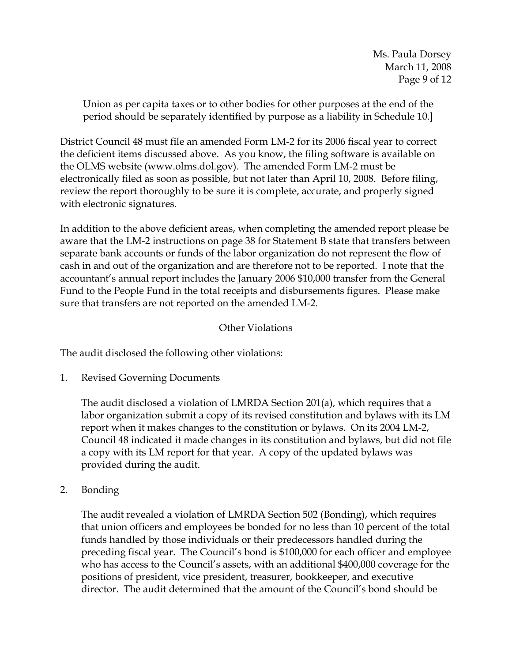Union as per capita taxes or to other bodies for other purposes at the end of the period should be separately identified by purpose as a liability in Schedule 10.]

District Council 48 must file an amended Form LM-2 for its 2006 fiscal year to correct the deficient items discussed above. As you know, the filing software is available on the OLMS website (www.olms.dol.gov). The amended Form LM-2 must be electronically filed as soon as possible, but not later than April 10, 2008. Before filing, review the report thoroughly to be sure it is complete, accurate, and properly signed with electronic signatures.

In addition to the above deficient areas, when completing the amended report please be aware that the LM-2 instructions on page 38 for Statement B state that transfers between separate bank accounts or funds of the labor organization do not represent the flow of cash in and out of the organization and are therefore not to be reported. I note that the accountant's annual report includes the January 2006 \$10,000 transfer from the General Fund to the People Fund in the total receipts and disbursements figures. Please make sure that transfers are not reported on the amended LM-2.

# Other Violations

The audit disclosed the following other violations:

1. Revised Governing Documents

The audit disclosed a violation of LMRDA Section 201(a), which requires that a labor organization submit a copy of its revised constitution and bylaws with its LM report when it makes changes to the constitution or bylaws. On its 2004 LM-2, Council 48 indicated it made changes in its constitution and bylaws, but did not file a copy with its LM report for that year. A copy of the updated bylaws was provided during the audit.

2. Bonding

The audit revealed a violation of LMRDA Section 502 (Bonding), which requires that union officers and employees be bonded for no less than 10 percent of the total funds handled by those individuals or their predecessors handled during the preceding fiscal year. The Council's bond is \$100,000 for each officer and employee who has access to the Council's assets, with an additional \$400,000 coverage for the positions of president, vice president, treasurer, bookkeeper, and executive director. The audit determined that the amount of the Council's bond should be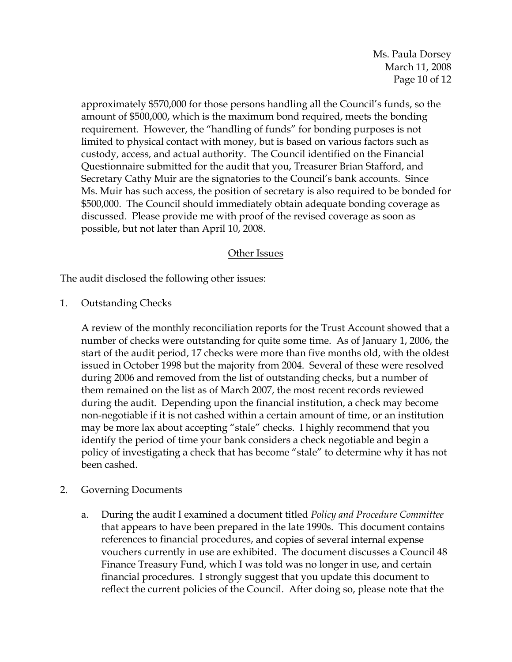Ms. Paula Dorsey March 11, 2008 Page 10 of 12

approximately \$570,000 for those persons handling all the Council's funds, so the amount of \$500,000, which is the maximum bond required, meets the bonding requirement. However, the "handling of funds" for bonding purposes is not limited to physical contact with money, but is based on various factors such as custody, access, and actual authority. The Council identified on the Financial Questionnaire submitted for the audit that you, Treasurer Brian Stafford, and Secretary Cathy Muir are the signatories to the Council's bank accounts. Since Ms. Muir has such access, the position of secretary is also required to be bonded for \$500,000. The Council should immediately obtain adequate bonding coverage as discussed. Please provide me with proof of the revised coverage as soon as possible, but not later than April 10, 2008.

#### Other Issues

The audit disclosed the following other issues:

1. Outstanding Checks

A review of the monthly reconciliation reports for the Trust Account showed that a number of checks were outstanding for quite some time. As of January 1, 2006, the start of the audit period, 17 checks were more than five months old, with the oldest issued in October 1998 but the majority from 2004. Several of these were resolved during 2006 and removed from the list of outstanding checks, but a number of them remained on the list as of March 2007, the most recent records reviewed during the audit. Depending upon the financial institution, a check may become non-negotiable if it is not cashed within a certain amount of time, or an institution may be more lax about accepting "stale" checks. I highly recommend that you identify the period of time your bank considers a check negotiable and begin a policy of investigating a check that has become "stale" to determine why it has not been cashed.

- 2. Governing Documents
	- a. During the audit I examined a document titled *Policy and Procedure Committee* that appears to have been prepared in the late 1990s. This document contains references to financial procedures, and copies of several internal expense vouchers currently in use are exhibited. The document discusses a Council 48 Finance Treasury Fund, which I was told was no longer in use, and certain financial procedures. I strongly suggest that you update this document to reflect the current policies of the Council. After doing so, please note that the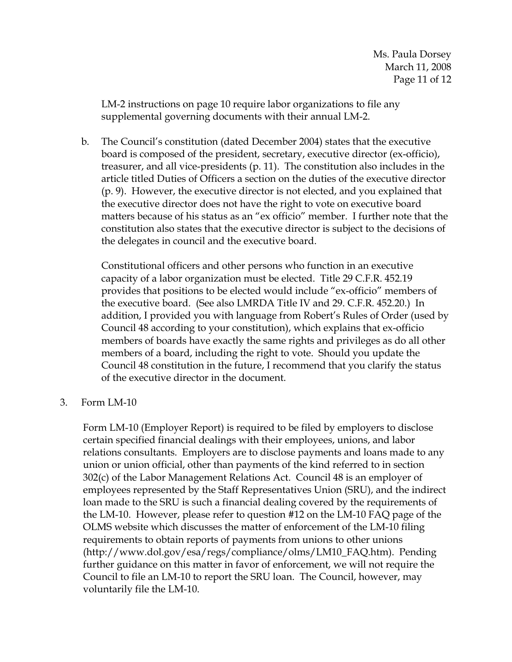LM-2 instructions on page 10 require labor organizations to file any supplemental governing documents with their annual LM-2.

b. The Council's constitution (dated December 2004) states that the executive board is composed of the president, secretary, executive director (ex-officio), treasurer, and all vice-presidents (p. 11). The constitution also includes in the article titled Duties of Officers a section on the duties of the executive director (p. 9). However, the executive director is not elected, and you explained that the executive director does not have the right to vote on executive board matters because of his status as an "ex officio" member. I further note that the constitution also states that the executive director is subject to the decisions of the delegates in council and the executive board.

Constitutional officers and other persons who function in an executive capacity of a labor organization must be elected. Title 29 C.F.R. 452.19 provides that positions to be elected would include "ex-officio" members of the executive board. (See also LMRDA Title IV and 29. C.F.R. 452.20.) In addition, I provided you with language from Robert's Rules of Order (used by Council 48 according to your constitution), which explains that ex-officio members of boards have exactly the same rights and privileges as do all other members of a board, including the right to vote. Should you update the Council 48 constitution in the future, I recommend that you clarify the status of the executive director in the document.

3. Form LM-10

Form LM-10 (Employer Report) is required to be filed by employers to disclose certain specified financial dealings with their employees, unions, and labor relations consultants. Employers are to disclose payments and loans made to any union or union official, other than payments of the kind referred to in section 302(c) of the Labor Management Relations Act. Council 48 is an employer of employees represented by the Staff Representatives Union (SRU), and the indirect loan made to the SRU is such a financial dealing covered by the requirements of the LM-10. However, please refer to question #12 on the LM-10 FAQ page of the OLMS website which discusses the matter of enforcement of the LM-10 filing requirements to obtain reports of payments from unions to other unions (http://www.dol.gov/esa/regs/compliance/olms/LM10\_FAQ.htm). Pending further guidance on this matter in favor of enforcement, we will not require the Council to file an LM-10 to report the SRU loan. The Council, however, may voluntarily file the LM-10.